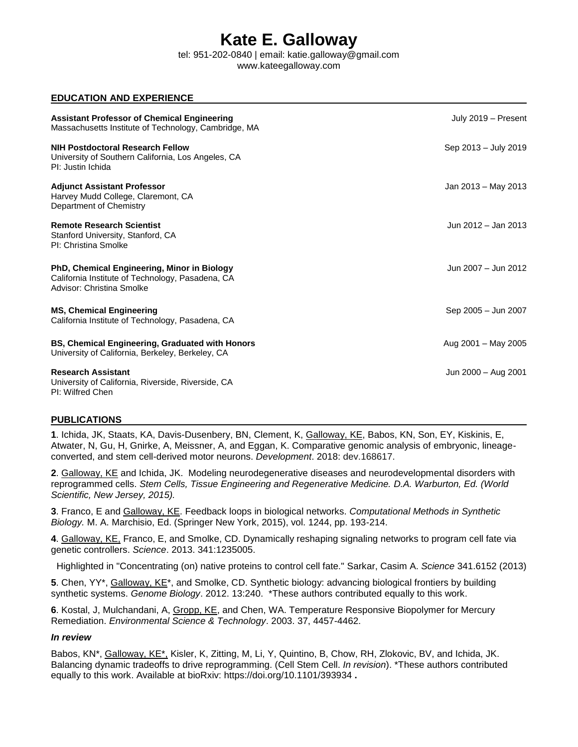# **Kate E. Galloway**

tel: 951-202-0840 | email: katie.galloway@gmail.com www.kateegalloway.com

# **EDUCATION AND EXPERIENCE**

| <b>Assistant Professor of Chemical Engineering</b><br>Massachusetts Institute of Technology, Cambridge, MA                   | July 2019 - Present  |
|------------------------------------------------------------------------------------------------------------------------------|----------------------|
| <b>NIH Postdoctoral Research Fellow</b><br>University of Southern California, Los Angeles, CA<br>PI: Justin Ichida           | Sep 2013 - July 2019 |
| <b>Adjunct Assistant Professor</b><br>Harvey Mudd College, Claremont, CA<br>Department of Chemistry                          | Jan 2013 – May 2013  |
| <b>Remote Research Scientist</b><br>Stanford University, Stanford, CA<br>PI: Christina Smolke                                | Jun 2012 - Jan 2013  |
| PhD, Chemical Engineering, Minor in Biology<br>California Institute of Technology, Pasadena, CA<br>Advisor: Christina Smolke | Jun 2007 - Jun 2012  |
| <b>MS, Chemical Engineering</b><br>California Institute of Technology, Pasadena, CA                                          | Sep 2005 - Jun 2007  |
| BS, Chemical Engineering, Graduated with Honors<br>University of California, Berkeley, Berkeley, CA                          | Aug 2001 - May 2005  |
| <b>Research Assistant</b><br>University of California, Riverside, Riverside, CA<br>PI: Wilfred Chen                          | Jun 2000 - Aug 2001  |

# **PUBLICATIONS**

**1**. Ichida, JK, Staats, KA, Davis-Dusenbery, BN, Clement, K, Galloway, KE, Babos, KN, Son, EY, Kiskinis, E, Atwater, N, Gu, H, Gnirke, A, Meissner, A, and Eggan, K. Comparative genomic analysis of embryonic, lineageconverted, and stem cell-derived motor neurons. *Development*. 2018: dev.168617.

**2**. Galloway, KE and Ichida, JK. Modeling neurodegenerative diseases and neurodevelopmental disorders with reprogrammed cells. *Stem Cells, Tissue Engineering and Regenerative Medicine. D.A. Warburton, Ed. (World Scientific, New Jersey, 2015).*

**3**. Franco, E and Galloway, KE. Feedback loops in biological networks. *Computational Methods in Synthetic Biology.* M. A. Marchisio, Ed. (Springer New York, 2015), vol. 1244, pp. 193-214.

**4**. Galloway, KE, Franco, E, and Smolke, CD. Dynamically reshaping signaling networks to program cell fate via genetic controllers. *Science*. 2013. 341:1235005.

Highlighted in "Concentrating (on) native proteins to control cell fate." Sarkar, Casim A. *Science* 341.6152 (2013)

**5**. Chen, YY\*, Galloway, KE\*, and Smolke, CD. Synthetic biology: advancing biological frontiers by building synthetic systems. *Genome Biology*. 2012. 13:240. \*These authors contributed equally to this work.

**6**. Kostal, J, Mulchandani, A, Gropp, KE, and Chen, WA. Temperature Responsive Biopolymer for Mercury Remediation. *Environmental Science & Technology*. 2003. 37, 4457-4462.

# *In review*

Babos, KN\*, Galloway, KE\*, Kisler, K, Zitting, M, Li, Y, Quintino, B, Chow, RH, Zlokovic, BV, and Ichida, JK. Balancing dynamic tradeoffs to drive reprogramming. (Cell Stem Cell. *In revision*). \*These authors contributed equally to this work. Available at bioRxiv: https://doi.org/10.1101/393934 **.**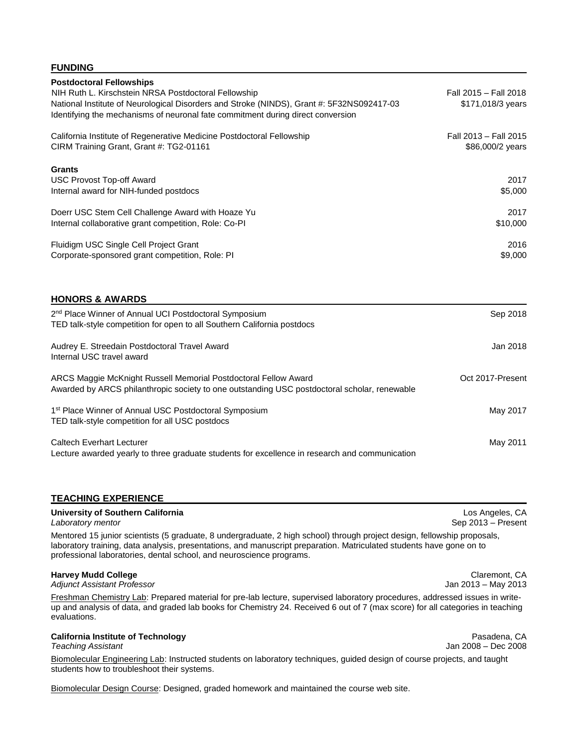### **FUNDING**

| <b>Postdoctoral Fellowships</b>                                                           |                       |
|-------------------------------------------------------------------------------------------|-----------------------|
| NIH Ruth L. Kirschstein NRSA Postdoctoral Fellowship                                      | Fall 2015 - Fall 2018 |
| National Institute of Neurological Disorders and Stroke (NINDS), Grant #: 5F32NS092417-03 | \$171,018/3 years     |
| Identifying the mechanisms of neuronal fate commitment during direct conversion           |                       |
| California Institute of Regenerative Medicine Postdoctoral Fellowship                     | Fall 2013 - Fall 2015 |
| CIRM Training Grant, Grant #: TG2-01161                                                   | \$86,000/2 years      |
| <b>Grants</b>                                                                             |                       |
| USC Provost Top-off Award                                                                 | 2017                  |
| Internal award for NIH-funded postdocs                                                    | \$5,000               |
| Doerr USC Stem Cell Challenge Award with Hoaze Yu                                         | 2017                  |
| Internal collaborative grant competition, Role: Co-PI                                     | \$10,000              |
| Fluidigm USC Single Cell Project Grant                                                    | 2016                  |
| Corporate-sponsored grant competition, Role: PI                                           | \$9,000               |
|                                                                                           |                       |
|                                                                                           |                       |

| 2 <sup>nd</sup> Place Winner of Annual UCI Postdoctoral Symposium<br>TED talk-style competition for open to all Southern California postdocs                    | Sep 2018         |
|-----------------------------------------------------------------------------------------------------------------------------------------------------------------|------------------|
| Audrey E. Streedain Postdoctoral Travel Award<br>Internal USC travel award                                                                                      | Jan 2018         |
| ARCS Maggie McKnight Russell Memorial Postdoctoral Fellow Award<br>Awarded by ARCS philanthropic society to one outstanding USC postdoctoral scholar, renewable | Oct 2017-Present |
| 1 <sup>st</sup> Place Winner of Annual USC Postdoctoral Symposium<br>TED talk-style competition for all USC postdocs                                            | May 2017         |

Caltech Everhart Lecturer May 2011 Lecture awarded yearly to three graduate students for excellence in research and communication

# **TEACHING EXPERIENCE**

**HONORS & AWARDS**

### **University of Southern California Los Angeles, CA Los Angeles, CA Los Angeles, CA**

Mentored 15 junior scientists (5 graduate, 8 undergraduate, 2 high school) through project design, fellowship proposals, laboratory training, data analysis, presentations, and manuscript preparation. Matriculated students have gone on to professional laboratories, dental school, and neuroscience programs.

#### **Harvey Mudd College** Claremont, CA

*Adjunct Assistant Professor* Jan 2013 – May 2013

Freshman Chemistry Lab: Prepared material for pre-lab lecture, supervised laboratory procedures, addressed issues in writeup and analysis of data, and graded lab books for Chemistry 24. Received 6 out of 7 (max score) for all categories in teaching evaluations.

# **California Institute of Technology Pasadena, CA**

Biomolecular Engineering Lab: Instructed students on laboratory techniques, guided design of course projects, and taught students how to troubleshoot their systems.

Biomolecular Design Course: Designed, graded homework and maintained the course web site.

*Laboratory mentor* Sep 2013 – Present

*Teaching Assistant* Jan 2008 – Dec 2008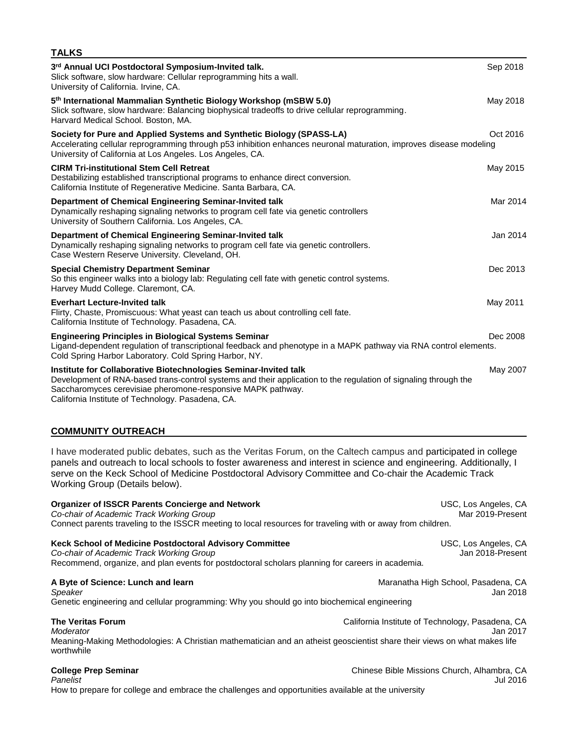| <b>IALKS</b>                                                                                                                                                                                                                                                                                            |          |
|---------------------------------------------------------------------------------------------------------------------------------------------------------------------------------------------------------------------------------------------------------------------------------------------------------|----------|
| 3rd Annual UCI Postdoctoral Symposium-Invited talk.<br>Slick software, slow hardware: Cellular reprogramming hits a wall.<br>University of California. Irvine, CA.                                                                                                                                      | Sep 2018 |
| 5 <sup>th</sup> International Mammalian Synthetic Biology Workshop (mSBW 5.0)<br>Slick software, slow hardware: Balancing biophysical tradeoffs to drive cellular reprogramming.<br>Harvard Medical School. Boston, MA.                                                                                 | May 2018 |
| Society for Pure and Applied Systems and Synthetic Biology (SPASS-LA)<br>Accelerating cellular reprogramming through p53 inhibition enhances neuronal maturation, improves disease modeling<br>University of California at Los Angeles. Los Angeles, CA.                                                | Oct 2016 |
| <b>CIRM Tri-institutional Stem Cell Retreat</b><br>Destabilizing established transcriptional programs to enhance direct conversion.<br>California Institute of Regenerative Medicine. Santa Barbara, CA.                                                                                                | May 2015 |
| Department of Chemical Engineering Seminar-Invited talk<br>Dynamically reshaping signaling networks to program cell fate via genetic controllers<br>University of Southern California. Los Angeles, CA.                                                                                                 | Mar 2014 |
| Department of Chemical Engineering Seminar-Invited talk<br>Dynamically reshaping signaling networks to program cell fate via genetic controllers.<br>Case Western Reserve University. Cleveland, OH.                                                                                                    | Jan 2014 |
| <b>Special Chemistry Department Seminar</b><br>So this engineer walks into a biology lab: Regulating cell fate with genetic control systems.<br>Harvey Mudd College. Claremont, CA.                                                                                                                     | Dec 2013 |
| <b>Everhart Lecture-Invited talk</b><br>Flirty, Chaste, Promiscuous: What yeast can teach us about controlling cell fate.<br>California Institute of Technology. Pasadena, CA.                                                                                                                          | May 2011 |
| <b>Engineering Principles in Biological Systems Seminar</b><br>Ligand-dependent regulation of transcriptional feedback and phenotype in a MAPK pathway via RNA control elements.<br>Cold Spring Harbor Laboratory. Cold Spring Harbor, NY.                                                              | Dec 2008 |
| Institute for Collaborative Biotechnologies Seminar-Invited talk<br>Development of RNA-based trans-control systems and their application to the regulation of signaling through the<br>Saccharomyces cerevisiae pheromone-responsive MAPK pathway.<br>California Institute of Technology. Pasadena, CA. | May 2007 |
| <b>COMMUNITY OUTREACH</b>                                                                                                                                                                                                                                                                               |          |

**TALKS**

I have moderated public debates, such as the Veritas Forum, on the Caltech campus and participated in college panels and outreach to local schools to foster awareness and interest in science and engineering. Additionally, I serve on the Keck School of Medicine Postdoctoral Advisory Committee and Co-chair the Academic Track Working Group (Details below).

| <b>Organizer of ISSCR Parents Concierge and Network</b><br>Co-chair of Academic Track Working Group<br>Connect parents traveling to the ISSCR meeting to local resources for traveling with or away from children.                              | USC, Los Angeles, CA<br>Mar 2019-Present        |
|-------------------------------------------------------------------------------------------------------------------------------------------------------------------------------------------------------------------------------------------------|-------------------------------------------------|
| Keck School of Medicine Postdoctoral Advisory Committee<br>Co-chair of Academic Track Working Group<br>Recommend, organize, and plan events for postdoctoral scholars planning for careers in academia.                                         | USC, Los Angeles, CA<br>Jan 2018-Present        |
| A Byte of Science: Lunch and learn<br>Speaker<br>Genetic engineering and cellular programming: Why you should go into biochemical engineering                                                                                                   | Maranatha High School, Pasadena, CA<br>Jan 2018 |
| <b>The Veritas Forum</b><br>California Institute of Technology, Pasadena, CA<br>Moderator<br>Jan 2017<br>Meaning-Making Methodologies: A Christian mathematician and an atheist geoscientist share their views on what makes life<br>worthwhile |                                                 |
| <b>College Prep Seminar</b>                                                                                                                                                                                                                     | Chinese Bible Missions Church, Alhambra, CA     |

*Panelist* Jul 2016 How to prepare for college and embrace the challenges and opportunities available at the university